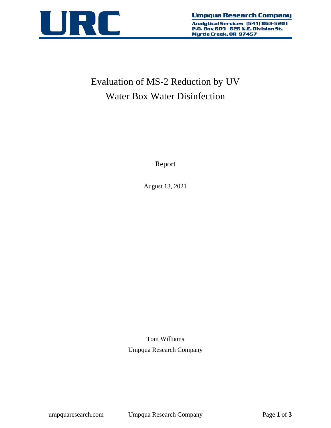

Analytical Services (541) 863-5201 P.O. Box 609 - 626 N.E. Division St. Myrtle Creek, OR 97457

# Evaluation of MS-2 Reduction by UV Water Box Water Disinfection

Report

August 13, 2021

Tom Williams Umpqua Research Company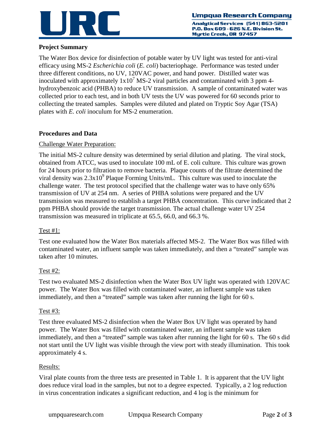

Analytical Services (541) 863-5201 P.O. Box 609 - 626 N.E. Division St. Myrtle Creek, OR 97457

# **Project Summary**

The Water Box device for disinfection of potable water by UV light was tested for anti-viral efficacy using MS-2 *Escherichia coli* (*E. coli*) bacteriophage. Performance was tested under three different conditions, no UV, 120VAC power, and hand power. Distilled water was inoculated with approximately  $1x10^7$  MS-2 viral particles and contaminated with 3 ppm 4hydroxybenzoic acid (PHBA) to reduce UV transmission. A sample of contaminated water was collected prior to each test, and in both UV tests the UV was powered for 60 seconds prior to collecting the treated samples. Samples were diluted and plated on Tryptic Soy Agar (TSA) plates with *E. coli* inoculum for MS-2 enumeration.

# **Procedures and Data**

## Challenge Water Preparation:

The initial MS-2 culture density was determined by serial dilution and plating. The viral stock, obtained from ATCC, was used to inoculate 100 mL of E. coli culture. This culture was grown for 24 hours prior to filtration to remove bacteria. Plaque counts of the filtrate determined the viral density was  $2.3x10^9$  Plaque Forming Units/mL. This culture was used to inoculate the challenge water. The test protocol specified that the challenge water was to have only 65% transmission of UV at 254 nm. A series of PHBA solutions were prepared and the UV transmission was measured to establish a target PHBA concentration. This curve indicated that 2 ppm PHBA should provide the target transmission. The actual challenge water UV 254 transmission was measured in triplicate at 65.5, 66.0, and 66.3 %.

#### Test #1:

Test one evaluated how the Water Box materials affected MS-2. The Water Box was filled with contaminated water, an influent sample was taken immediately, and then a "treated" sample was taken after 10 minutes.

#### Test #2:

Test two evaluated MS-2 disinfection when the Water Box UV light was operated with 120VAC power. The Water Box was filled with contaminated water, an influent sample was taken immediately, and then a "treated" sample was taken after running the light for 60 s.

#### Test #3:

Test three evaluated MS-2 disinfection when the Water Box UV light was operated by hand power. The Water Box was filled with contaminated water, an influent sample was taken immediately, and then a "treated" sample was taken after running the light for 60 s. The 60 s did not start until the UV light was visible through the view port with steady illumination. This took approximately 4 s.

#### Results:

Viral plate counts from the three tests are presented in Table 1. It is apparent that the UV light does reduce viral load in the samples, but not to a degree expected. Typically, a 2 log reduction in virus concentration indicates a significant reduction, and 4 log is the minimum for